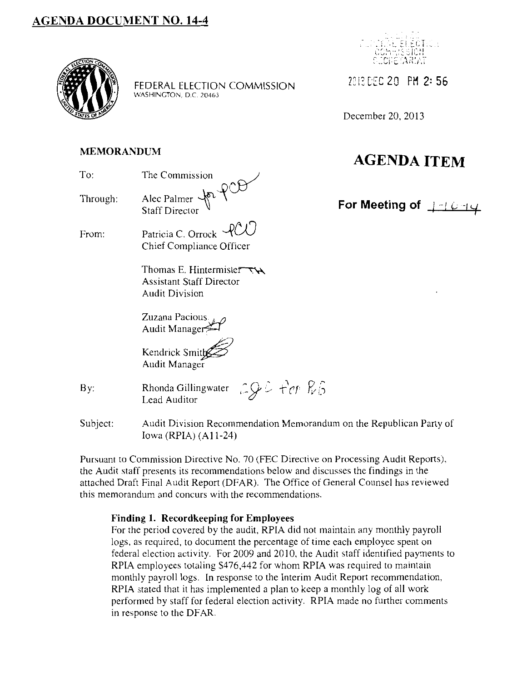### **AGENDA DOCUMENT NO. 14-4**



FEDERAL ELECTION COMMISSION 2013 DEC 20 PM 2: 56 WASHINGTON, D.C. 20463



December 20, 2013

## **AGENDA ITEM**

For Meeting of <u>1-10-14</u>

### **MEMORANDUM**

| The Commission                                                                                         |
|--------------------------------------------------------------------------------------------------------|
| Alec Palmer Jor PCD                                                                                    |
| Patricia C. Orrock RCU<br>Chief Compliance Officer                                                     |
| Thomas E. Hintermister $\nabla \mathbf{A}$<br><b>Assistant Staff Director</b><br><b>Audit Division</b> |
|                                                                                                        |

Zuzana Pacious *-.w*  Audit Manager $\approx$ 

Kendrick Smith Audit Manager

| By: | Rhonda Gillingwater $\bigcirc \mathcal{G} \circ \text{For } \mathbb{R} \circ$<br>Lead Auditor |  |  |
|-----|-----------------------------------------------------------------------------------------------|--|--|
|     |                                                                                               |  |  |

Subject: Audit Division Recommendation Memorandum on the Republican Party of Iowa (RPIA) (All-24)

Pursuant to Commission Directive No. 70 (FEC Directive on Processing Audit Reports), the Audit staff presents its recommendations below and discusses the findings in the attached Draft Final Audit Report (DFAR). The Office of General Counsel has reviewed this memorandum and concurs with the recommendations.

### **Finding 1. Recordkeeping for Employees**

For the period covered by the audit, RPIA did not maintain any monthly payroll logs, as required, to document the percentage of time each employee spent on federal election activity. For 2009 and 2010, the Audit staff identified payments to RPIA employees totaling \$476,442 for whom RPIA was required to maintain monthly payroll logs. In response to the Interim Audit Report recommendation, RPIA stated that it has implemented a plan to keep a monthly log of all work performed by staff for federal election activity. RPIA made no further comments in response to the DFAR.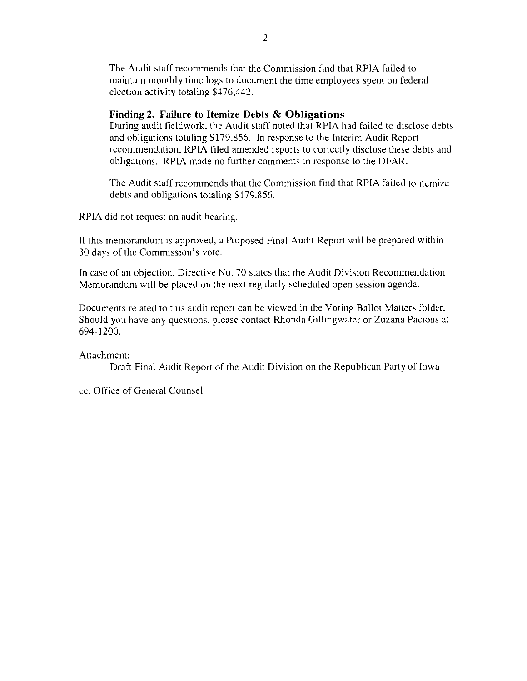The Audit staff recommends that the Commission find that RPIA failed to maintain monthly time logs to document the time employees spent on federal election activity totaling \$476,442.

#### **Finding 2. Failure to Itemize Debts & Obligations**

During audit fieldwork, the Audit staff noted that RPIA had failed to disclose debts and obligations totaling \$179,856. In response to the Interim Audit Report recommendation, RPIA filed amended reports to correctly disclose these debts and obligations. RPIA made no further comments in response to the DFAR.

The Audit staff recommends that the Commission find that RPIA failed to itemize debts and obligations totaling \$179,856.

RPIA did not request an audit hearing.

If this memorandum is approved, a Proposed Final Audit Report will be prepared within 30 days of the Commission's vote.

In case of an objection, Directive No. 70 states that the Audit Division Recommendation Memorandum will be placed on the next regularly scheduled open session agenda.

Documents related to this audit report can be viewed in the Voting Ballot Matters folder. Should you have any questions, please contact Rhonda Gillingwater or Zuzana Pacious at 694-!200.

Attachment:

Draft Final Audit Report of the Audit Division on the Republican Party of Iowa  $\omega_{\rm{eff}}$ 

cc: Office of General Counsel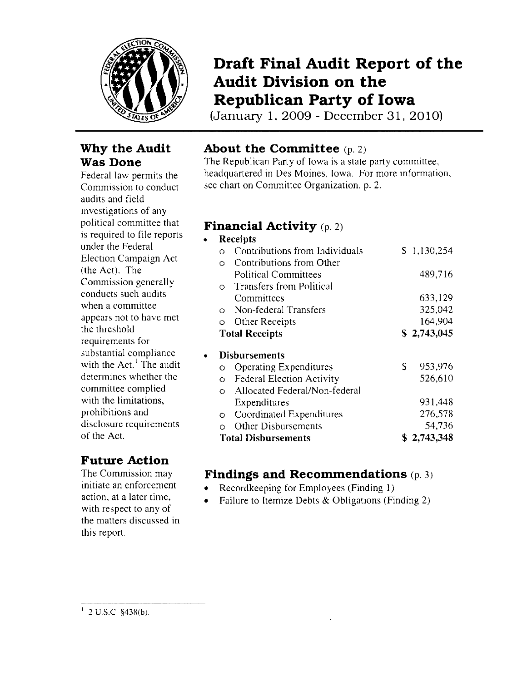

### **Why the Audit Was Done**

Federal law permits the Commission to conduct audits and field investigations of any political committee that is required to file reports under the Federal Election Campaign Act (the Act). The Commission generally conducts such audits when a committee appears not to have met the threshold requirements for substantial compliance with the  $Act<sup>1</sup>$ . The audit determines whether the committee complied with the limitations, prohibitions and disclosure requirements of the Act.

## **Future Action**

The Commission may initiate an enforcement action, at a later time, with respect to any of the matters discussed in this report.

## **Draft Final Audit Report of the Audit Division on the Republican Party of Iowa**

(January 1, 2009- December 31, 2010)

## **About the Committee** (p. 2)

The Republican Party of Iowa is a state party committee, headquartered in Des Moines, Iowa. For more information, see chart on Committee Organization, p. 2.

## **Financial Activity** (p. 2)

### • Receipts o Contributions from Individuals S 1,130,254 0 Contributions from Other Political Committees 489,716 0 Transfers from Political Committees 633,129 0 Non-federal Transfers 325,042 0 Other Receipts 164,904 Total Receipts  $$ 2,743,045$ **Disbursements** o Operating Expenditures 5 953,976<br>
o Federal Election Activity 526,610 o Federal Election Activity 0 Allocated Federal/Non-federal Expenditures 931,448 0 Coordinated Expenditures 276,578 0 Other Disbursements 54,736 Total Disbursements  $$ 2,743,348$

## **Findings and Recommendations** (p. 3)

- Recordkeeping for Employees (Finding 1)
- Failure to Itemize Debts & Obligations (Finding 2)

 $1$  2 U.S.C. §438(b).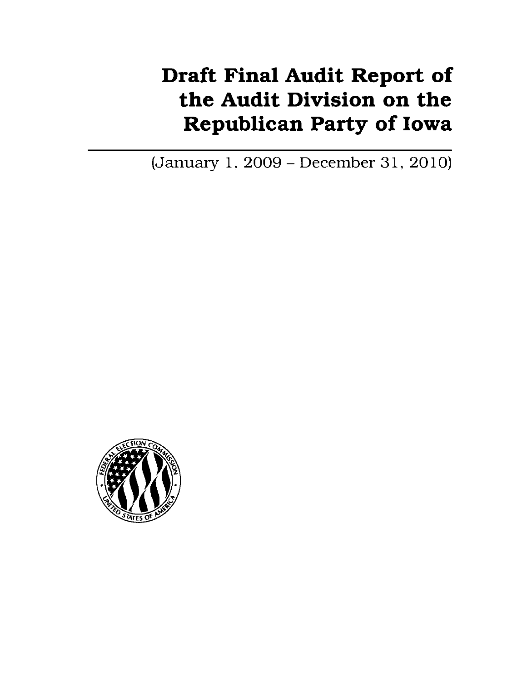# Draft Final Audit Report of the Audit Division on the Republican Party of Iowa

(January 1, 2009- December 31, 2010)

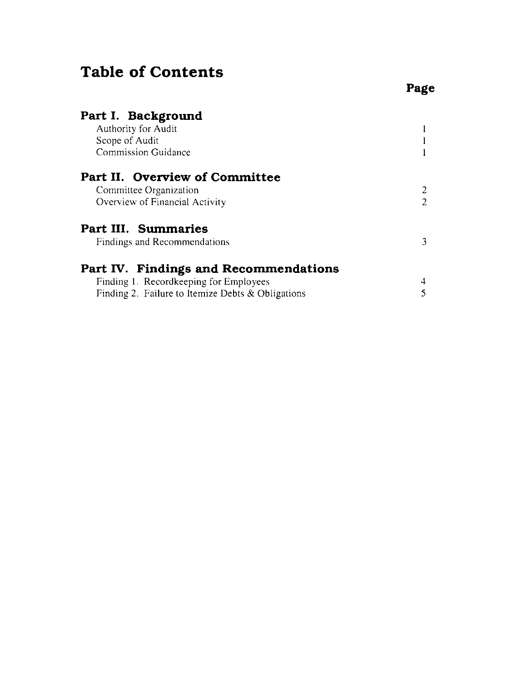## **Table of Contents**

 $\mathbf{1}$  $\mathbf{1}$  $\mathbf{1}$ 

### **Part I. Background**  Authority for Audit Scope of Audit Commission Guidance

| Part II. Overview of Committee                    |                |
|---------------------------------------------------|----------------|
| Committee Organization                            | $\overline{2}$ |
| Overview of Financial Activity                    | 2              |
| Part III. Summaries                               |                |
| Findings and Recommendations                      | 3              |
| Part IV. Findings and Recommendations             |                |
| Finding 1. Recordkeeping for Employees            |                |
| Finding 2. Failure to Itemize Debts & Obligations |                |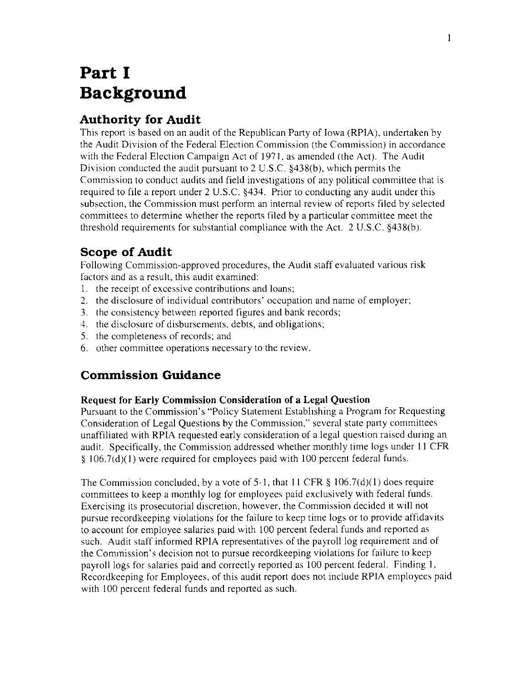## **Part I Background**

### **Authority for Audit**

This report is based on an audit of the Republican Party of Iowa (RPIA), undertaken by the Audit Division of the Federal Election Commission (the Commission) in accordance with the Federal Election Campaign Act of 1971, as amended (the Act). The Audit Division conducted the audit pursuant to 2 U.S.C. §438(b), which permits the Commission to conduct audits and field investigations of any political committee that is required to file a report under 2 U.S.C. §434. Prior to conducting any audit under this subsection, the Commission must perform an internal review of reports filed by selected committees to determine whether the reports filed by a particular committee meet the threshold requirements for substantial compliance with the Act. 2 U.S.C. §438(b).

### **Scope of Audit**

Following Commission-approved procedures, the Audit staff evaluated various risk factors and as a result, this audit examined:

- I. the receipt of excessive contributions and loans:
- 2. the disclosure of individual contributors' occupation and name of employer:
- 3. the consistency between reported figures and bank records;
- 4. the disclosure of disbursements. debts, and obligations:
- 5. the completeness of records; and
- 6. other committee operations necessary to the review.

### **Commission Guidance**

### **Request for Early Commission Consideration of a Legal Question**

Pursuant to the Commission's "Policy Statement Establishing a Program for Requesting Consideration of Legal Questions by the Commission," several state party committees unaffiliated with RPIA requested early consideration of a legal question raised during an audit. Specifically, the Commission addressed whether monthly time logs under **ll** CFR § 106.7(d)(l) were required for employees paid with 100 percent federal funds.

The Commission concluded, by a vote of 5-l, that **ll** CFR § 106.7(d)(l) does require committees to keep a monthly log for employees paid exclusively with federal funds. Exercising its prosecutorial discretion. however, the Commission decided it will not pursue recordkeeping violations for the failure to keep time logs or to provide affidavits to account for employee salaries paid with I 00 percent federal funds and reported as such. Audit staff informed RPIA representatives of the payroll log requirement and of the Commission's decision not to pursue recordkeeping violations for failure to keep payroll logs for salaries paid and correctly reported as 100 percent federal. Finding I. Recordkeeping for Employees, of this audit report does not include RPIA employees paid with 100 percent federal funds and reported as such.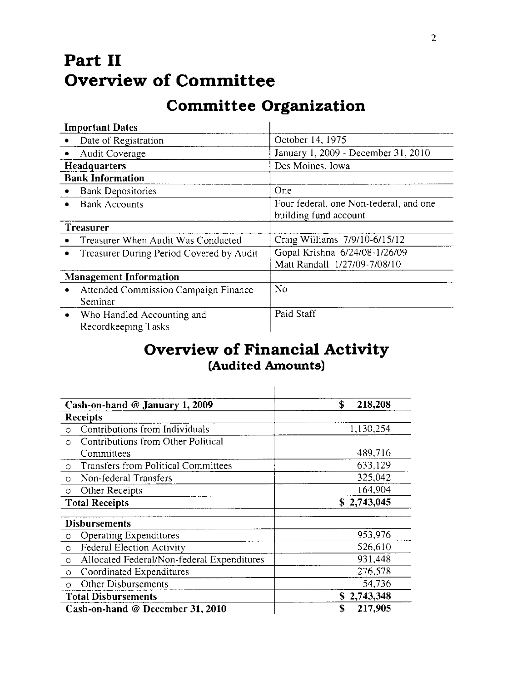## **Part II Overview of Committee**

## **Committee Organization**

| <b>Important Dates</b>                                 |                                                                 |
|--------------------------------------------------------|-----------------------------------------------------------------|
| Date of Registration                                   | October 14, 1975                                                |
| Audit Coverage                                         | January 1, 2009 - December 31, 2010                             |
| <b>Headquarters</b>                                    | Des Moines, Iowa                                                |
| <b>Bank Information</b>                                |                                                                 |
| <b>Bank Depositories</b><br>۰                          | One                                                             |
| <b>Bank Accounts</b>                                   | Four federal, one Non-federal, and one<br>building fund account |
| Treasurer                                              |                                                                 |
| Treasurer When Audit Was Conducted                     | Craig Williams 7/9/10-6/15/12                                   |
| Treasurer During Period Covered by Audit<br>$\bullet$  | Gopal Krishna 6/24/08-1/26/09<br>Matt Randall 1/27/09-7/08/10   |
| <b>Management Information</b>                          |                                                                 |
| Attended Commission Campaign Finance<br>٠<br>Seminar   | No                                                              |
| Who Handled Accounting and<br>۰<br>Recordkeeping Tasks | Paid Staff                                                      |

## **Overview of Financial Activity (Audited Amounts)**

 $\mathbf{I}$ 

| Cash-on-hand @ January 1, 2009                        | \$<br>218,208 |
|-------------------------------------------------------|---------------|
| <b>Receipts</b>                                       |               |
| Contributions from Individuals<br>O                   | 1.130,254     |
| Contributions from Other Political<br>$\Omega$        |               |
| Committees                                            | 489,716       |
| Transfers from Political Committees<br>$\circ$        | 633,129       |
| Non-federal Transfers<br>$\circ$                      | 325,042       |
| <b>Other Receipts</b><br>$\circ$                      | 164,904       |
| <b>Total Receipts</b>                                 | \$2,743,045   |
| <b>Disbursements</b>                                  |               |
| <b>Operating Expenditures</b><br>$\circ$              | 953,976       |
| <b>Federal Election Activity</b><br>$\circ$           | 526,610       |
| Allocated Federal/Non-federal Expenditures<br>$\circ$ | 931,448       |
| Coordinated Expenditures<br>$\circ$                   | 276,578       |
| Other Disbursements<br>$\Omega$                       | 54,736        |
| <b>Total Disbursements</b>                            | \$2,743,348   |
| Cash-on-hand @ December 31, 2010                      | 217,905<br>\$ |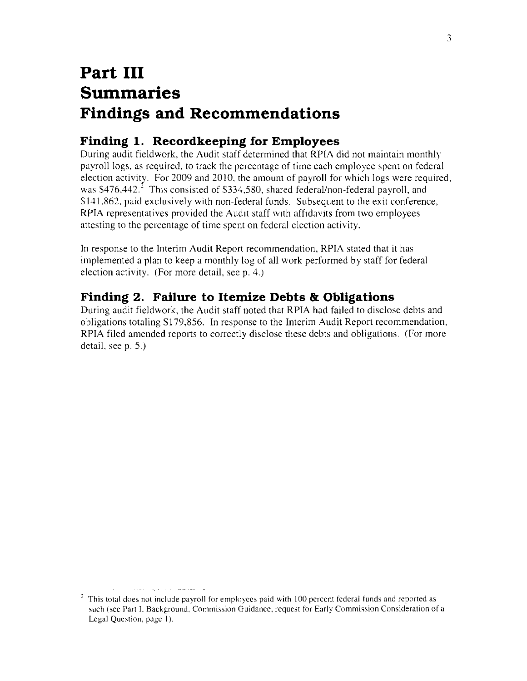## **Part III Summaries Findings and Recommendations**

## **Finding 1. Recordkeeping for Employees**

During audit fieldwork, the Audit staff determined that RPIA did not maintain monthly payroll logs, as required, to track the percentage of time each employee spent on federal election activity. For 2009 and 2010, the amount of payroll for which logs were required, was  $$476,442.7$  This consisted of \$334,580, shared federal/non-federal payroll, and \$141,862, paid exclusively with non-federal funds. Subsequent to the exit conference, RPIA representatives provided the Audit staff with affidavits from two employees attesting to the percentage of time spent on federal election activity.

In response to the Interim Audit Report recommendation, RPIA stated that it has implemented a plan to keep a monthly log of all work performed by staff for federal election activity. (For more detail, seep. 4.)

### **Finding 2. Failure to Itemize Debts & Obligations**

During audit fieldwork, the Audit staff noted that RPIA had failed to disclose debts and obligations totaling \$179,856. In response to the Interim Audit Report recommendation, RPIA filed amended reports to correctly disclose these debts and obligations. (For more detail, see p. 5.)

This total does not include payroll for employees paid with 100 percent federal funds and reported as **such (see Part L Background. Commission Guidance, request for Early Commission Consideration of a**  Legal Question, page I).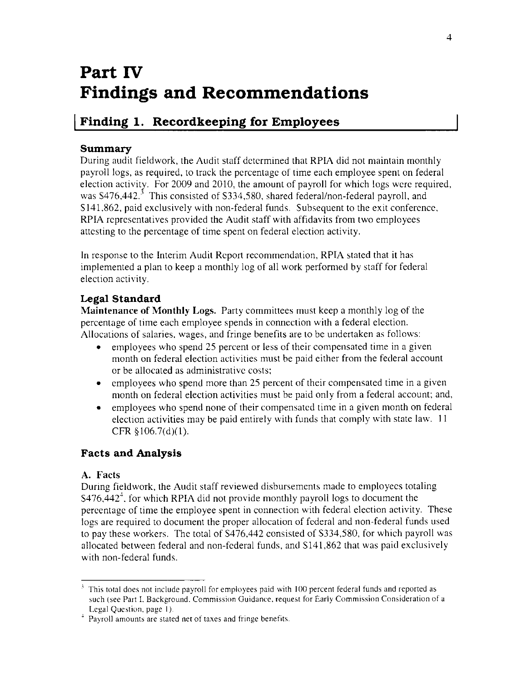## **Part IV Findings and Recommendations**

## **I Finding 1. Recordkeeping for Employees**

### **Summary**

During audit fieldwork, the Audit staff determined that RPIA did not maintain monthly payroll logs, as required, to track the percentage of time each employee spent on federal election activity. For 2009 and 2010, the amount of payroll for which logs were required, was  $$476,442$ <sup>3</sup>. This consisted of  $$334,580$ , shared federal/non-federal payroll, and 5141,862, paid exclusively with non-federal funds. Subsequent to the exit conference, RPIA representatives provided the Audit staff with affidavits from two employees attesting to the percentage of time spent on federal election activity.

In response to the Interim Audit Report recommendation, RPIA stated that it has implemented a plan to keep a monthly log of all work performed by staff for federal election activity.

### **Legal Standard**

**Maintenance of Monthly Logs.** Party committees must keep a monthly log of the percentage of time each employee spends in connection with a federal election. Allocations of salaries, wages, and fringe benefits are to be undertaken as follows:

- employees who spend 25 percent or less of their compensated time in a given month on federal election activities must be paid either from the federal account or be allocated as administrative costs;
- employees who spend more than 25 percent of their compensated time in a given month on federal election activities must be paid only from a federal account; and,
- employees who spend none of their compensated time in a given month on federal election activities may be paid entirely with funds that comply with state law. 11 CFR §106.7(d)(l).

### **Facts and Analysis**

### **A. Facts**

During fieldwork, the Audit staff reviewed disbursements made to employees totaling  $$476,442<sup>4</sup>$ , for which RPIA did not provide monthly payroll logs to document the percentage of time the employee spent in connection with federal election activity. These logs are required to document the proper allocation of federal and non-federal funds used to pay these workers. The total of 5476,442 consisted of 5334,580, for which payroll was allocated between federal and non-federal funds, and 5141,862 that was paid exclusively with non-federal funds.

This total does not include payroll for employees paid with 100 percent federal funds and reported as **such (see Part L Background. Commission Guidance. request for Early Commission Consideration of a** 

Legal Question. page I). 4 **Payroll amounts are stated net of taxes and fringe benefits.**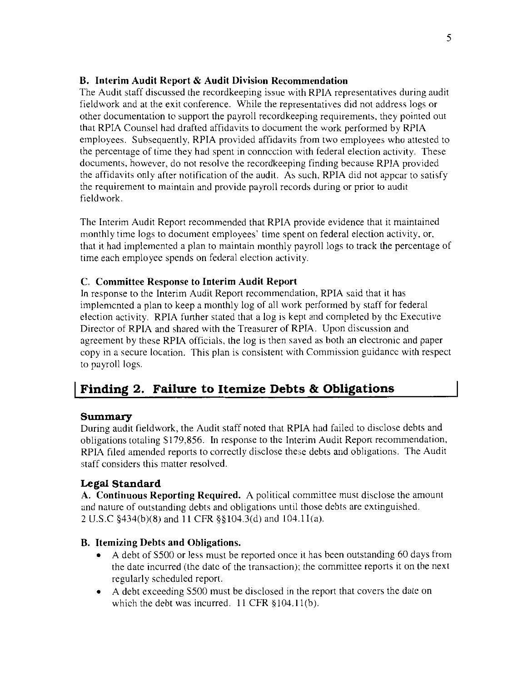#### **B. Interim Audit Report & Audit Division Recommendation**

The Audit staff discussed the recordkeeping issue with RPIA representatives during audit fieldwork and at the exit conference. While the representatives did not address logs or other documentation to support the payroll recordkeeping requirements, they pointed out that RPIA Counsel had drafted affidavits to document the work performed by RPIA employees. Subsequently, RPIA provided affidavits from two employees who attested to the percentage of time they had spent in connection with federal election activity. These documents, however, do not resolve the recordkeeping finding because RPIA provided the affidavits only after notification of the audit. As such, RPIA did not appear to satisfy the requirement to maintain and provide payroll records during or prior to audit fieldwork.

The Interim Audit Report recommended that RPIA provide evidence that it maintained monthly time logs to document employees' time spent on federal election activity, or, that it had implemented a plan to maintain monthly payroll logs to track the percentage of time each employee spends on federal election activity.

### **C. Committee Response to Interim Audit Report**

In response to the Interim Audit Report recommendation, RPIA said that it has implemented a plan to keep a monthly log of all work performed by staff for federal election activity. RPIA further stated that a log is kept and completed by the Executive Director of RPIA and shared with the Treasurer of RPIA. Upon discussion and agreement by these RPIA officials, the log is then saved as both an electronic and paper copy in a secure location. This plan is consistent with Commission guidance with respect to payroll logs.

## **I Finding 2. Failure to Itemize Debts & Obligations**

#### **Summary**

During audit fieldwork, the Audit staff noted that RPIA had failed to disclose debts and obligations totaling \$179,856. In response to the Interim Audit Report recommendation, RPIA filed amended reports to correctly disclose these debts and obligations. The Audit staff considers this matter resolved.

### **Legal Standard**

**A. Continuous Reporting Required.** A political committee must disclose the amount and nature of outstanding debts and obligations until those debts are extinguished. 2 U.S.C §434(b)(8) and II CFR §§ 104.3(d) and !04.ll(a).

### **B. Itemizing Debts and Obligations.**

- A debt of S500 or less must be reported once it has been outstanding 60 days from the date incurred (the date of the transaction); the committee reports it on the next regularly scheduled report.
- A debt exceeding S500 must be disclosed in the report that covers the date on which the debt was incurred.  $11$  CFR  $\S 104.11(b)$ .